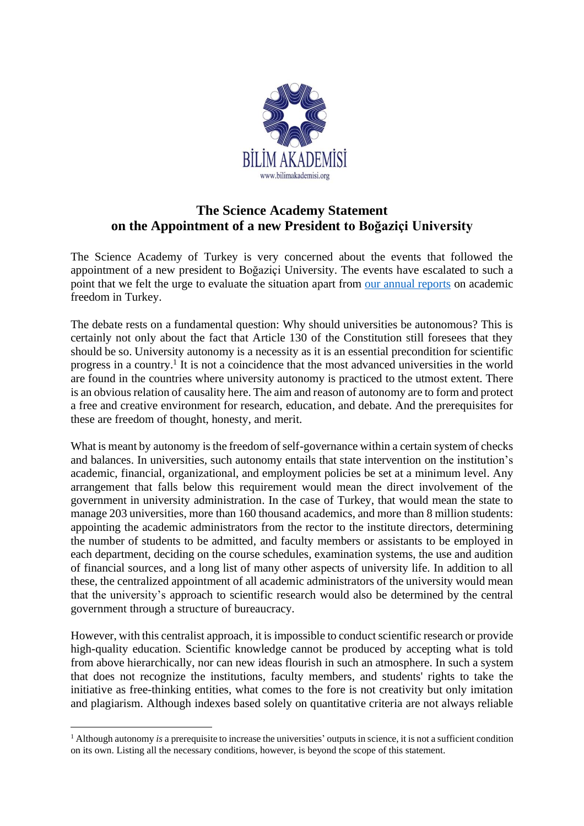

## **The Science Academy Statement on the Appointment of a new President to Boğaziçi University**

The Science Academy of Turkey is very concerned about the events that followed the appointment of a new president to Boğaziçi University. The events have escalated to such a point that we felt the urge to evaluate the situation apart from [our annual reports](https://en.bilimakademisi.org/tag/academic-freedom-report/) on academic freedom in Turkey.

The debate rests on a fundamental question: Why should universities be autonomous? This is certainly not only about the fact that Article 130 of the Constitution still foresees that they should be so. University autonomy is a necessity as it is an essential precondition for scientific progress in a country.<sup>1</sup> It is not a coincidence that the most advanced universities in the world are found in the countries where university autonomy is practiced to the utmost extent. There is an obvious relation of causality here. The aim and reason of autonomy are to form and protect a free and creative environment for research, education, and debate. And the prerequisites for these are freedom of thought, honesty, and merit.

What is meant by autonomy is the freedom of self-governance within a certain system of checks and balances. In universities, such autonomy entails that state intervention on the institution's academic, financial, organizational, and employment policies be set at a minimum level. Any arrangement that falls below this requirement would mean the direct involvement of the government in university administration. In the case of Turkey, that would mean the state to manage 203 universities, more than 160 thousand academics, and more than 8 million students: appointing the academic administrators from the rector to the institute directors, determining the number of students to be admitted, and faculty members or assistants to be employed in each department, deciding on the course schedules, examination systems, the use and audition of financial sources, and a long list of many other aspects of university life. In addition to all these, the centralized appointment of all academic administrators of the university would mean that the university's approach to scientific research would also be determined by the central government through a structure of bureaucracy.

However, with this centralist approach, it is impossible to conduct scientific research or provide high-quality education. Scientific knowledge cannot be produced by accepting what is told from above hierarchically, nor can new ideas flourish in such an atmosphere. In such a system that does not recognize the institutions, faculty members, and students' rights to take the initiative as free-thinking entities, what comes to the fore is not creativity but only imitation and plagiarism. Although indexes based solely on quantitative criteria are not always reliable

<sup>1</sup> Although autonomy *is* a prerequisite to increase the universities' outputs in science, it is not a sufficient condition on its own. Listing all the necessary conditions, however, is beyond the scope of this statement.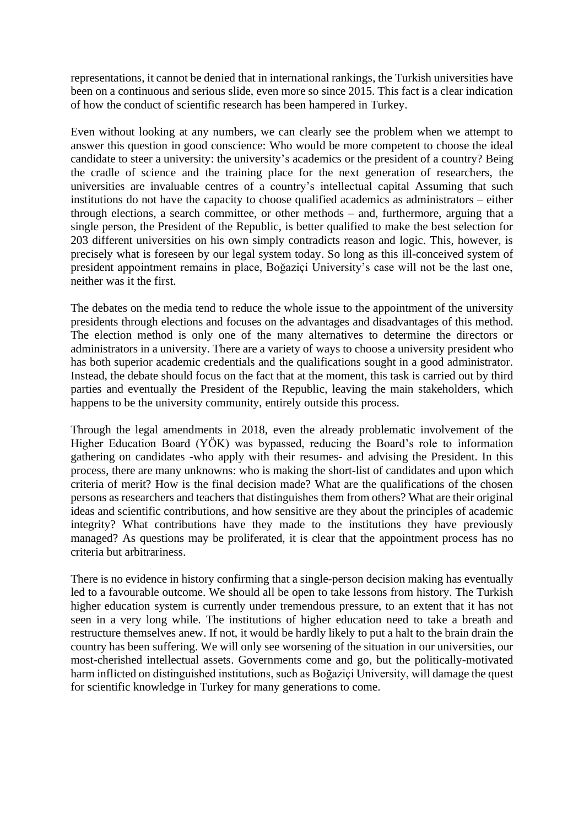representations, it cannot be denied that in international rankings, the Turkish universities have been on a continuous and serious slide, even more so since 2015. This fact is a clear indication of how the conduct of scientific research has been hampered in Turkey.

Even without looking at any numbers, we can clearly see the problem when we attempt to answer this question in good conscience: Who would be more competent to choose the ideal candidate to steer a university: the university's academics or the president of a country? Being the cradle of science and the training place for the next generation of researchers, the universities are invaluable centres of a country's intellectual capital Assuming that such institutions do not have the capacity to choose qualified academics as administrators – either through elections, a search committee, or other methods – and, furthermore, arguing that a single person, the President of the Republic, is better qualified to make the best selection for 203 different universities on his own simply contradicts reason and logic. This, however, is precisely what is foreseen by our legal system today. So long as this ill-conceived system of president appointment remains in place, Boğaziçi University's case will not be the last one, neither was it the first.

The debates on the media tend to reduce the whole issue to the appointment of the university presidents through elections and focuses on the advantages and disadvantages of this method. The election method is only one of the many alternatives to determine the directors or administrators in a university. There are a variety of ways to choose a university president who has both superior academic credentials and the qualifications sought in a good administrator. Instead, the debate should focus on the fact that at the moment, this task is carried out by third parties and eventually the President of the Republic, leaving the main stakeholders, which happens to be the university community, entirely outside this process.

Through the legal amendments in 2018, even the already problematic involvement of the Higher Education Board (YÖK) was bypassed, reducing the Board's role to information gathering on candidates -who apply with their resumes- and advising the President. In this process, there are many unknowns: who is making the short-list of candidates and upon which criteria of merit? How is the final decision made? What are the qualifications of the chosen persons as researchers and teachers that distinguishes them from others? What are their original ideas and scientific contributions, and how sensitive are they about the principles of academic integrity? What contributions have they made to the institutions they have previously managed? As questions may be proliferated, it is clear that the appointment process has no criteria but arbitrariness.

There is no evidence in history confirming that a single-person decision making has eventually led to a favourable outcome. We should all be open to take lessons from history. The Turkish higher education system is currently under tremendous pressure, to an extent that it has not seen in a very long while. The institutions of higher education need to take a breath and restructure themselves anew. If not, it would be hardly likely to put a halt to the brain drain the country has been suffering. We will only see worsening of the situation in our universities, our most-cherished intellectual assets. Governments come and go, but the politically-motivated harm inflicted on distinguished institutions, such as Boğaziçi University, will damage the quest for scientific knowledge in Turkey for many generations to come.